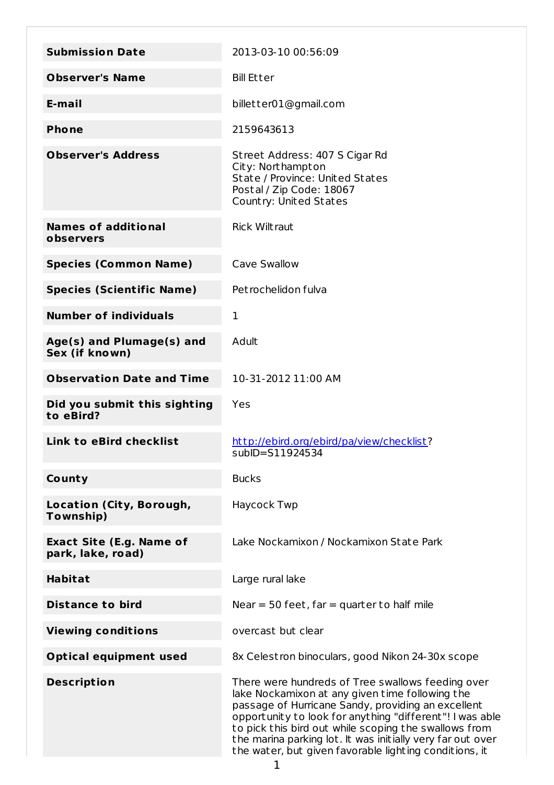| <b>Submission Date</b>                               | 2013-03-10 00:56:09                                                                                                                                                                                                                                                                                                                                                                                     |
|------------------------------------------------------|---------------------------------------------------------------------------------------------------------------------------------------------------------------------------------------------------------------------------------------------------------------------------------------------------------------------------------------------------------------------------------------------------------|
| <b>Observer's Name</b>                               | <b>Bill Etter</b>                                                                                                                                                                                                                                                                                                                                                                                       |
| E-mail                                               | billetter01@gmail.com                                                                                                                                                                                                                                                                                                                                                                                   |
| <b>Phone</b>                                         | 2159643613                                                                                                                                                                                                                                                                                                                                                                                              |
| <b>Observer's Address</b>                            | Street Address: 407 S Cigar Rd<br>City: Northampton<br>State / Province: United States<br>Postal / Zip Code: 18067<br>Country: United States                                                                                                                                                                                                                                                            |
| <b>Names of additional</b><br>observers              | <b>Rick Wiltraut</b>                                                                                                                                                                                                                                                                                                                                                                                    |
| <b>Species (Common Name)</b>                         | Cave Swallow                                                                                                                                                                                                                                                                                                                                                                                            |
| <b>Species (Scientific Name)</b>                     | Petrochelidon fulva                                                                                                                                                                                                                                                                                                                                                                                     |
| <b>Number of individuals</b>                         | 1                                                                                                                                                                                                                                                                                                                                                                                                       |
| Age(s) and Plumage(s) and<br>Sex (if known)          | Adult                                                                                                                                                                                                                                                                                                                                                                                                   |
| <b>Observation Date and Time</b>                     | 10-31-2012 11:00 AM                                                                                                                                                                                                                                                                                                                                                                                     |
| Did you submit this sighting<br>to eBird?            | Yes                                                                                                                                                                                                                                                                                                                                                                                                     |
| Link to eBird checklist                              | http://ebird.org/ebird/pa/view/checklist?<br>subID=S11924534                                                                                                                                                                                                                                                                                                                                            |
| County                                               | <b>Bucks</b>                                                                                                                                                                                                                                                                                                                                                                                            |
| Location (City, Borough,<br>Township)                | Haycock Twp                                                                                                                                                                                                                                                                                                                                                                                             |
| <b>Exact Site (E.g. Name of</b><br>park, lake, road) | Lake Nockamixon / Nockamixon State Park                                                                                                                                                                                                                                                                                                                                                                 |
| <b>Habitat</b>                                       | Large rural lake                                                                                                                                                                                                                                                                                                                                                                                        |
| <b>Distance to bird</b>                              | Near $=$ 50 feet, far $=$ quarter to half mile                                                                                                                                                                                                                                                                                                                                                          |
| <b>Viewing conditions</b>                            | overcast but clear                                                                                                                                                                                                                                                                                                                                                                                      |
| <b>Optical equipment used</b>                        | 8x Celestron binoculars, good Nikon 24-30x scope                                                                                                                                                                                                                                                                                                                                                        |
| <b>Description</b>                                   | There were hundreds of Tree swallows feeding over<br>lake Nockamixon at any given time following the<br>passage of Hurricane Sandy, providing an excellent<br>opportunity to look for anything "different"! I was able<br>to pick this bird out while scoping the swallows from<br>the marina parking lot. It was initially very far out over<br>the water, but given favorable lighting conditions, it |